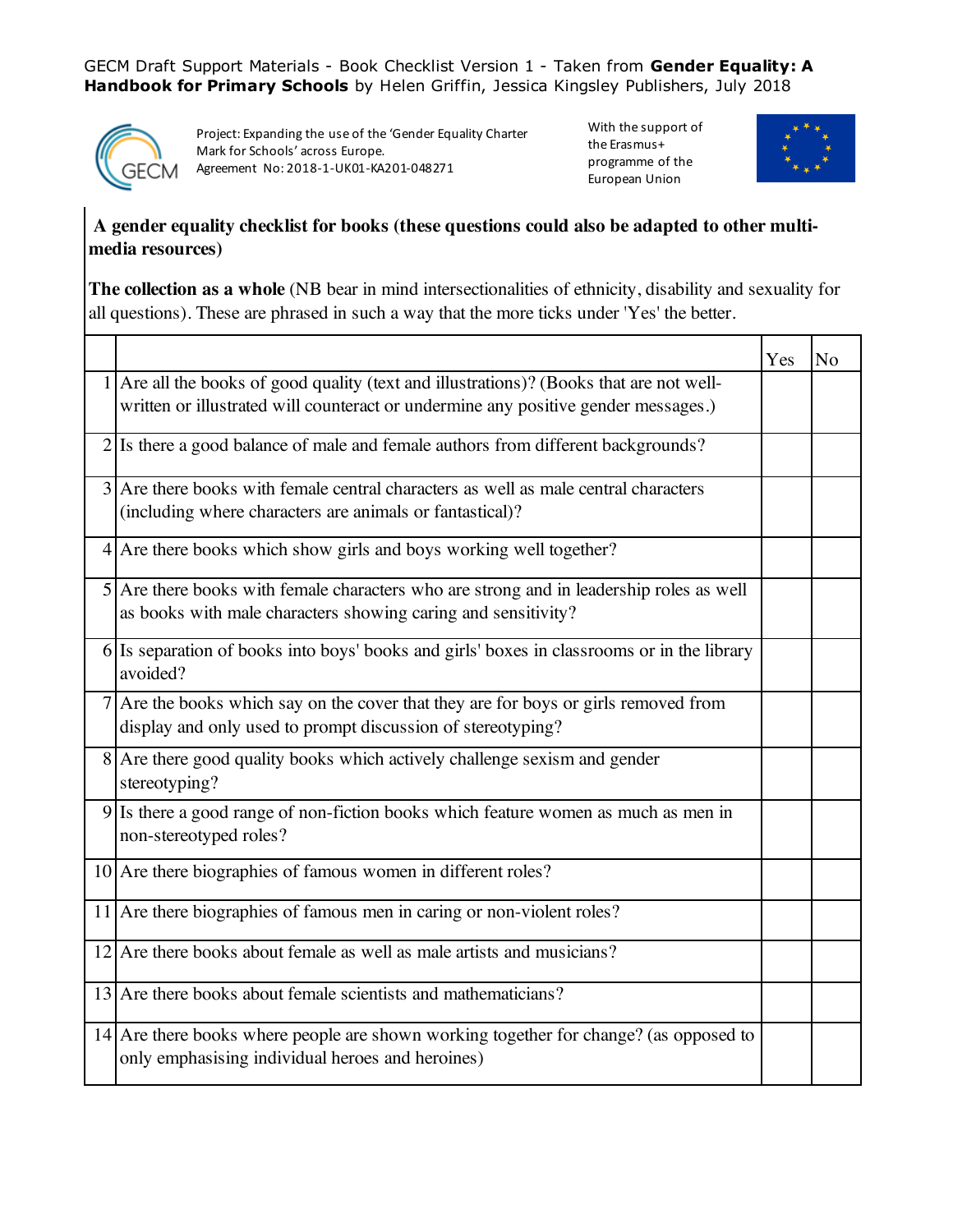GECM Draft Support Materials - Book Checklist Version 1 - Taken from **Gender Equality: A Handbook for Primary Schools** by Helen Griffin, Jessica Kingsley Publishers, July 2018



Project: Expanding the use of the 'Gender Equality Charter Mark for Schools' across Europe. Agreement No: 2018-1-UK01-KA201-048271

With the support of the Erasmus+ programme of the European Union



## **A gender equality checklist for books (these questions could also be adapted to other multimedia resources)**

**The collection as a whole** (NB bear in mind intersectionalities of ethnicity, disability and sexuality for all questions). These are phrased in such a way that the more ticks under 'Yes' the better.

|                                                                                                                                                                               | Yes | N <sub>o</sub> |
|-------------------------------------------------------------------------------------------------------------------------------------------------------------------------------|-----|----------------|
| 1 Are all the books of good quality (text and illustrations)? (Books that are not well-<br>written or illustrated will counteract or undermine any positive gender messages.) |     |                |
| 2 Is there a good balance of male and female authors from different backgrounds?                                                                                              |     |                |
| 3 Are there books with female central characters as well as male central characters<br>(including where characters are animals or fantastical)?                               |     |                |
| 4 Are there books which show girls and boys working well together?                                                                                                            |     |                |
| 5 Are there books with female characters who are strong and in leadership roles as well<br>as books with male characters showing caring and sensitivity?                      |     |                |
| 6 Is separation of books into boys' books and girls' boxes in classrooms or in the library<br>avoided?                                                                        |     |                |
| 7 Are the books which say on the cover that they are for boys or girls removed from<br>display and only used to prompt discussion of stereotyping?                            |     |                |
| 8 Are there good quality books which actively challenge sexism and gender<br>stereotyping?                                                                                    |     |                |
| 9 Is there a good range of non-fiction books which feature women as much as men in<br>non-stereotyped roles?                                                                  |     |                |
| 10 Are there biographies of famous women in different roles?                                                                                                                  |     |                |
| $11$ Are there biographies of famous men in caring or non-violent roles?                                                                                                      |     |                |
| $12$ Are there books about female as well as male artists and musicians?                                                                                                      |     |                |
| $13$ Are there books about female scientists and mathematicians?                                                                                                              |     |                |
| $14$ Are there books where people are shown working together for change? (as opposed to<br>only emphasising individual heroes and heroines)                                   |     |                |